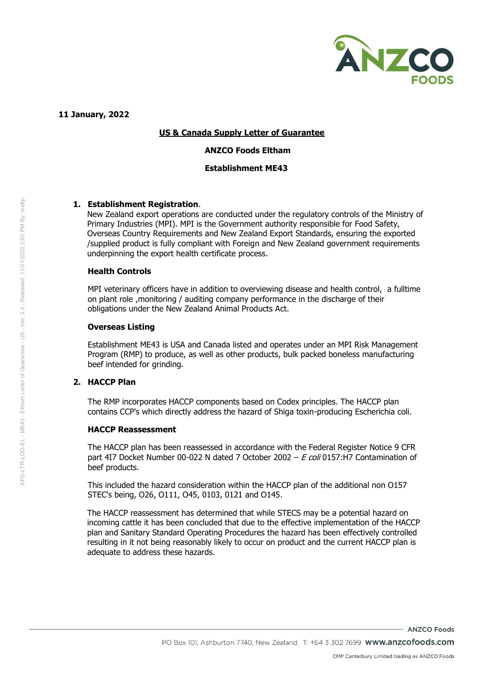

**11 January, 2022**

# **US & Canada Supply Letter of Guarantee**

### **ANZCO Foods Eltham**

### **Establishment ME43**

### **1. Establishment Registration**.

New Zealand export operations are conducted under the regulatory controls of the Ministry of Primary Industries (MPI). MPI is the Government authority responsible for Food Safety, Overseas Country Requirements and New Zealand Export Standards, ensuring the exported /supplied product is fully compliant with Foreign and New Zealand government requirements underpinning the export health certificate process.

### **Health Controls**

MPI veterinary officers have in addition to overviewing disease and health control, a fulltime on plant role ,monitoring / auditing company performance in the discharge of their obligations under the New Zealand Animal Products Act.

#### **Overseas Listing**

Establishment ME43 is USA and Canada listed and operates under an MPI Risk Management Program (RMP) to produce, as well as other products, bulk packed boneless manufacturing beef intended for grinding.

# **2. HACCP Plan**

The RMP incorporates HACCP components based on Codex principles. The HACCP plan contains CCP's which directly address the hazard of Shiga toxin-producing Escherichia coli.

### **HACCP Reassessment**

The HACCP plan has been reassessed in accordance with the Federal Register Notice 9 CFR part 4I7 Docket Number 00-022 N dated 7 October 2002 –  $E$  coli 0157:H7 Contamination of beef products.

This included the hazard consideration within the HACCP plan of the additional non O157 STEC's being, O26, O111, O45, 0103, 0121 and O145.

The HACCP reassessment has determined that while STECS may be a potential hazard on incoming cattle it has been concluded that due to the effective implementation of the HACCP plan and Sanitary Standard Operating Procedures the hazard has been effectively controlled resulting in it not being reasonably likely to occur on product and the current HACCP plan is adequate to address these hazards.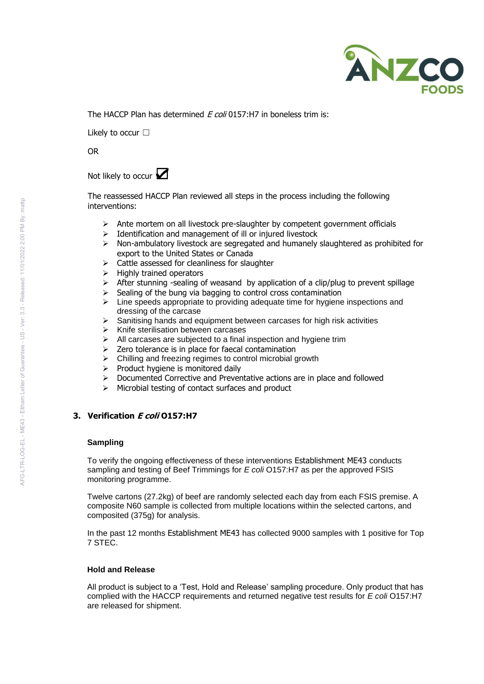

The HACCP Plan has determined  $F$  coli 0157:H7 in boneless trim is:

Likely to occur □

OR

# Not likely to occur **☑**

The reassessed HACCP Plan reviewed all steps in the process including the following interventions:

- $\triangleright$  Ante mortem on all livestock pre-slaughter by competent government officials
- ➢ Identification and management of ill or injured livestock
- $\triangleright$  Non-ambulatory livestock are segregated and humanely slaughtered as prohibited for export to the United States or Canada
- ➢ Cattle assessed for cleanliness for slaughter
- ➢ Highly trained operators
- $\triangleright$  After stunning -sealing of weasand by application of a clip/plug to prevent spillage
- $\geq$  Sealing of the bung via bagging to control cross contamination
- $\triangleright$  Line speeds appropriate to providing adequate time for hygiene inspections and dressing of the carcase
- ➢ Sanitising hands and equipment between carcases for high risk activities
- ➢ Knife sterilisation between carcases
- $\triangleright$  All carcases are subjected to a final inspection and hygiene trim
- $\geq$  Zero tolerance is in place for faecal contamination
- ➢ Chilling and freezing regimes to control microbial growth
- ➢ Product hygiene is monitored daily
- ➢ Documented Corrective and Preventative actions are in place and followed
- ➢ Microbial testing of contact surfaces and product

# **3. Verification E coli O157:H7**

### **Sampling**

To verify the ongoing effectiveness of these interventions Establishment ME43 conducts sampling and testing of Beef Trimmings for *E coli* O157:H7 as per the approved FSIS monitoring programme.

Twelve cartons (27.2kg) of beef are randomly selected each day from each FSIS premise. A composite N60 sample is collected from multiple locations within the selected cartons, and composited (375g) for analysis.

In the past 12 months Establishment ME43 has collected 9000 samples with 1 positive for Top 7 STEC.

### **Hold and Release**

All product is subject to a 'Test, Hold and Release' sampling procedure. Only product that has complied with the HACCP requirements and returned negative test results for *E coli* O157:H7 are released for shipment.